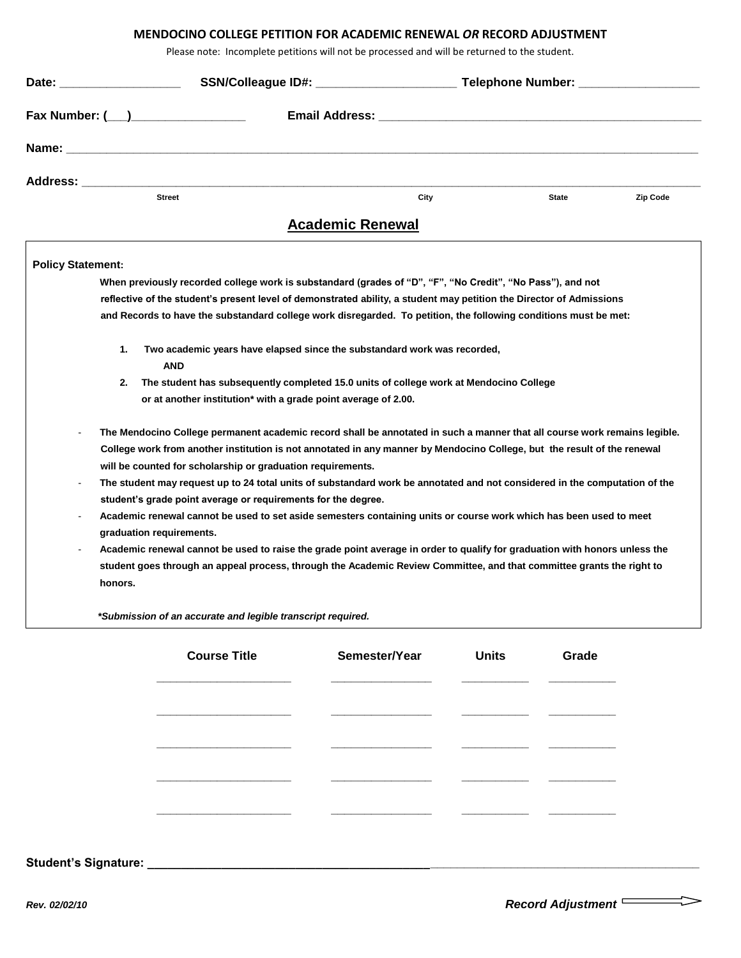## **MENDOCINO COLLEGE PETITION FOR ACADEMIC RENEWAL** *OR* **RECORD ADJUSTMENT**

Please note: Incomplete petitions will not be processed and will be returned to the student.

| Date: the contract of the contract of the contract of the contract of the contract of the contract of the contract of the contract of the contract of the contract of the contract of the contract of the contract of the cont |                                                                                                                                                |                         | SSN/Colleague ID#: __________________________Telephone Number: _________________ |          |
|--------------------------------------------------------------------------------------------------------------------------------------------------------------------------------------------------------------------------------|------------------------------------------------------------------------------------------------------------------------------------------------|-------------------------|----------------------------------------------------------------------------------|----------|
|                                                                                                                                                                                                                                |                                                                                                                                                |                         | <b>Email Address: Email Address:</b>                                             |          |
|                                                                                                                                                                                                                                |                                                                                                                                                |                         |                                                                                  |          |
| Address: <b>Address</b>                                                                                                                                                                                                        |                                                                                                                                                |                         |                                                                                  |          |
|                                                                                                                                                                                                                                | <b>Street</b>                                                                                                                                  | City                    | <b>State</b>                                                                     | Zip Code |
|                                                                                                                                                                                                                                |                                                                                                                                                | <b>Academic Renewal</b> |                                                                                  |          |
| <b>Policy Statement:</b>                                                                                                                                                                                                       |                                                                                                                                                |                         |                                                                                  |          |
|                                                                                                                                                                                                                                | When previously recorded college work is substandard (grades of "D", "F", "No Credit", "No Pass"), and not                                     |                         |                                                                                  |          |
|                                                                                                                                                                                                                                | reflective of the student's present level of demonstrated ability, a student may petition the Director of Admissions                           |                         |                                                                                  |          |
|                                                                                                                                                                                                                                | and Records to have the substandard college work disregarded. To petition, the following conditions must be met:                               |                         |                                                                                  |          |
| 1.                                                                                                                                                                                                                             | Two academic years have elapsed since the substandard work was recorded,<br><b>AND</b>                                                         |                         |                                                                                  |          |
| 2.                                                                                                                                                                                                                             | The student has subsequently completed 15.0 units of college work at Mendocino College                                                         |                         |                                                                                  |          |
|                                                                                                                                                                                                                                | or at another institution* with a grade point average of 2.00.                                                                                 |                         |                                                                                  |          |
|                                                                                                                                                                                                                                | The Mendocino College permanent academic record shall be annotated in such a manner that all course work remains legible.                      |                         |                                                                                  |          |
|                                                                                                                                                                                                                                | College work from another institution is not annotated in any manner by Mendocino College, but the result of the renewal                       |                         |                                                                                  |          |
|                                                                                                                                                                                                                                | will be counted for scholarship or graduation requirements.                                                                                    |                         |                                                                                  |          |
|                                                                                                                                                                                                                                | The student may request up to 24 total units of substandard work be annotated and not considered in the computation of the                     |                         |                                                                                  |          |
|                                                                                                                                                                                                                                | student's grade point average or requirements for the degree.                                                                                  |                         |                                                                                  |          |
|                                                                                                                                                                                                                                | Academic renewal cannot be used to set aside semesters containing units or course work which has been used to meet<br>graduation requirements. |                         |                                                                                  |          |
|                                                                                                                                                                                                                                | Academic renewal cannot be used to raise the grade point average in order to qualify for graduation with honors unless the                     |                         |                                                                                  |          |
|                                                                                                                                                                                                                                | student goes through an appeal process, through the Academic Review Committee, and that committee grants the right to                          |                         |                                                                                  |          |
| honors.                                                                                                                                                                                                                        |                                                                                                                                                |                         |                                                                                  |          |
|                                                                                                                                                                                                                                | *Submission of an accurate and legible transcript required.                                                                                    |                         |                                                                                  |          |
|                                                                                                                                                                                                                                | <b>Course Title</b>                                                                                                                            | Semester/Year           | <b>Units</b><br>Grade                                                            |          |

**\_\_\_\_\_\_\_\_\_\_\_\_\_\_\_\_\_\_\_\_ \_\_\_\_\_\_\_\_\_\_\_\_\_\_\_ \_\_\_\_\_\_\_\_\_\_ \_\_\_\_\_\_\_\_\_\_**

**\_\_\_\_\_\_\_\_\_\_\_\_\_\_\_\_\_\_\_\_ \_\_\_\_\_\_\_\_\_\_\_\_\_\_\_ \_\_\_\_\_\_\_\_\_\_ \_\_\_\_\_\_\_\_\_\_**

**\_\_\_\_\_\_\_\_\_\_\_\_\_\_\_\_\_\_\_\_ \_\_\_\_\_\_\_\_\_\_\_\_\_\_\_ \_\_\_\_\_\_\_\_\_\_ \_\_\_\_\_\_\_\_\_\_**

**\_\_\_\_\_\_\_\_\_\_\_\_\_\_\_\_\_\_\_\_ \_\_\_\_\_\_\_\_\_\_\_\_\_\_\_ \_\_\_\_\_\_\_\_\_\_ \_\_\_\_\_\_\_\_\_\_**

## **Student's Signature: \_\_\_\_\_\_\_\_\_\_\_\_\_\_\_\_\_\_\_\_\_\_\_\_\_\_\_\_\_\_\_\_\_\_\_\_\_\_\_\_\_\_\_\_\_\_\_\_\_\_\_\_\_\_\_\_\_\_\_\_\_\_\_\_\_\_\_\_\_\_\_\_\_\_\_\_\_\_\_\_\_\_**